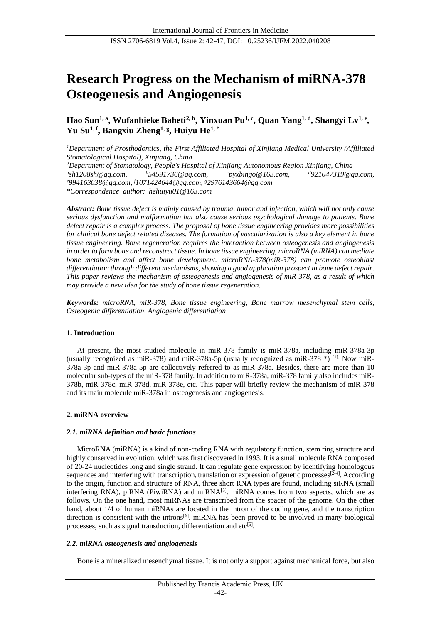# **Research Progress on the Mechanism of miRNA-378 Osteogenesis and Angiogenesis**

**Hao Sun1, a, Wufanbieke Baheti2, b, Yinxuan Pu1, c, Quan Yang1, d, Shangyi Lv1, e , Yu Su1, f , Bangxiu Zheng1, g , Huiyu He1, \***

*<sup>1</sup>Department of Prosthodontics, the First Affiliated Hospital of Xinjiang Medical University (Affiliated Stomatological Hospital), Xinjiang, China*

*<sup>2</sup>Department of Stomatology, People's Hospital of Xinjiang Autonomous Region Xinjiang, China*  $a<sub>sh1208sh@qq.com</sub>$ *[sh1208sh@qq.com,](mailto:aSH1208Sh@22qq.com,) <sup>b</sup>[54591736@qq.com,](mailto:b54591736@qq.com) <sup>c</sup>pyxbingo@163.com, <sup>d</sup>[921047319@qq.com,](mailto:cpyxbingo@163.com，d921047319@qq.com，e994163038@qq.com，，)  <sup>e</sup>[994163038@qq.com,](mailto:cpyxbingo@163.com，d921047319@qq.com，e994163038@qq.com，，) <sup>f</sup>1071424644@qq.com, <sup>g</sup>2976143664@qq.com \*Correspondence author: [hehuiyu01@163.com](mailto:hehuiyu01@163.com)*

*Abstract: Bone tissue defect is mainly caused by trauma, tumor and infection, which will not only cause serious dysfunction and malformation but also cause serious psychological damage to patients. Bone defect repair is a complex process. The proposal of bone tissue engineering provides more possibilities for clinical bone defect related diseases. The formation of vascularization is also a key element in bone tissue engineering. Bone regeneration requires the interaction between osteogenesis and angiogenesis in orderto form bone and reconstruct tissue. In bone tissue engineering, microRNA (miRNA) can mediate bone metabolism and affect bone development. microRNA-378(miR-378) can promote osteoblast differentiation through different mechanisms, showing a good application prospect in bone defect repair. This paper reviews the mechanism of osteogenesis and angiogenesis of miR-378, as a result of which may provide a new idea for the study of bone tissue regeneration.*

*Keywords: microRNA, miR-378, Bone tissue engineering, Bone marrow mesenchymal stem cells, Osteogenic differentiation, Angiogenic differentiation*

# **1. Introduction**

At present, the most studied molecule in miR-378 family is miR-378a, including miR-378a-3p (usually recognized as miR-378) and miR-378a-5p (usually recognized as miR-378  $*$ ) [1]. Now miR-378a-3p and miR-378a-5p are collectively referred to as miR-378a. Besides, there are more than 10 molecular sub-types of the miR-378 family. In addition to miR-378a, miR-378 family also includes miR-378b, miR-378c, miR-378d, miR-378e, etc. This paper will briefly review the mechanism of miR-378 and its main molecule miR-378a in osteogenesis and angiogenesis.

### **2. miRNA overview**

### *2.1. miRNA definition and basic functions*

MicroRNA (miRNA) is a kind of non-coding RNA with regulatory function, stem ring structure and highly conserved in evolution, which was first discovered in 1993. It is a small molecule RNA composed of 20-24 nucleotides long and single strand. It can regulate gene expression by identifying homologous sequences and interfering with transcription, translation or expression of genetic processes $[2-4]$ . According to the origin, function and structure of RNA, three short RNA types are found, including siRNA (small interfering RNA), piRNA (PiwiRNA) and miRNA $[5]$ . miRNA comes from two aspects, which are as follows. On the one hand, most miRNAs are transcribed from the spacer of the genome. On the other hand, about 1/4 of human miRNAs are located in the intron of the coding gene, and the transcription direction is consistent with the introns<sup>[6]</sup>. miRNA has been proved to be involved in many biological processes, such as signal transduction, differentiation and etc<sup>[5]</sup>.

### *2.2. miRNA osteogenesis and angiogenesis*

Bone is a mineralized mesenchymal tissue. It is not only a support against mechanical force, but also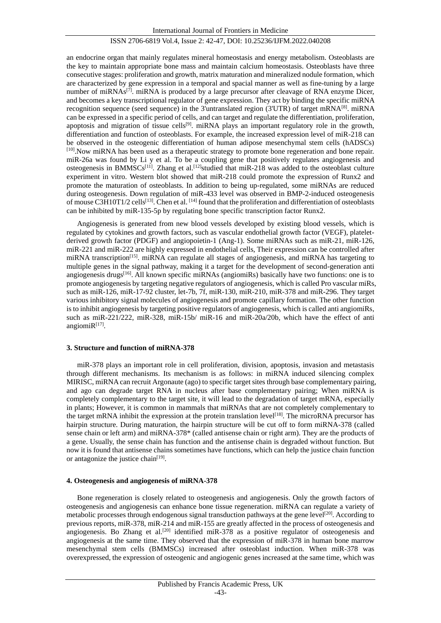an endocrine organ that mainly regulates mineral homeostasis and energy metabolism. Osteoblasts are the key to maintain appropriate bone mass and maintain calcium homeostasis. Osteoblasts have three consecutive stages: proliferation and growth, matrix maturation and mineralized nodule formation, which are characterized by gene expression in a temporal and spacial manner as well as fine-tuning by a large number of miRNAs<sup>[7]</sup>. miRNA is produced by a large precursor after cleavage of RNA enzyme Dicer, and becomes a key transcriptional regulator of gene expression. They act by binding the specific miRNA recognition sequence (seed sequence) in the 3'untranslated region (3'UTR) of target mRNA<sup>[8]</sup>. miRNA can be expressed in a specific period of cells, and can target and regulate the differentiation, proliferation, apoptosis and migration of tissue cells<sup>[9]</sup>. miRNA plays an important regulatory role in the growth, differentiation and function of osteoblasts. For example, the increased expression level of miR-218 can be observed in the osteogenic differentiation of human adipose mesenchymal stem cells (hADSCs) [10].Now miRNA has been used as a therapeutic strategy to promote bone regeneration and bone repair. miR-26a was found by Li y et al. To be a coupling gene that positively regulates angiogenesis and osteogenesis in BMMSCs<sup>[11]</sup>. Zhang et al.<sup>[12]</sup>studied that miR-218 was added to the osteoblast culture experiment in vitro. Western blot showed that miR-218 could promote the expression of Runx2 and promote the maturation of osteoblasts. In addition to being up-regulated, some miRNAs are reduced during osteogenesis. Down regulation of miR-433 level was observed in BMP-2-induced osteogenesis of mouse C3H10T1/2 cells<sup>[13]</sup>. Chen et al. <sup>[14]</sup> found that the proliferation and differentiation of osteoblasts can be inhibited by miR-135-5p by regulating bone specific transcription factor Runx2.

Angiogenesis is generated from new blood vessels developed by existing blood vessels, which is regulated by cytokines and growth factors, such as vascular endothelial growth factor (VEGF), plateletderived growth factor (PDGF) and angiopoietin-1 (Ang-1). Some miRNAs such as miR-21, miR-126, miR-221 and miR-222 are highly expressed in endothelial cells, Their expression can be controlled after miRNA transcription<sup>[15]</sup>. miRNA can regulate all stages of angiogenesis, and miRNA has targeting to multiple genes in the signal pathway, making it a target for the development of second-generation anti angiogenesis drugs[16]. All known specific miRNAs (angiomiRs) basically have two functions: one is to promote angiogenesis by targeting negative regulators of angiogenesis, which is called Pro vascular miRs, such as miR-126, miR-17-92 cluster, let-7b, 7f, miR-130, miR-210, miR-378 and miR-296. They target various inhibitory signal molecules of angiogenesis and promote capillary formation. The other function is to inhibit angiogenesis by targeting positive regulators of angiogenesis, which is called anti angiomiRs, such as miR-221/222, miR-328, miR-15b/ miR-16 and miR-20a/20b, which have the effect of anti angiomi $R^{[17]}$ .

### **3. Structure and function of miRNA-378**

miR-378 plays an important role in cell proliferation, division, apoptosis, invasion and metastasis through different mechanisms. Its mechanism is as follows: in miRNA induced silencing complex MIRISC, miRNA can recruit Argonaute (ago) to specific target sites through base complementary pairing, and ago can degrade target RNA in nucleus after base complementary pairing; When miRNA is completely complementary to the target site, it will lead to the degradation of target mRNA, especially in plants; However, it is common in mammals that miRNAs that are not completely complementary to the target mRNA inhibit the expression at the protein translation level<sup>[18]</sup>. The microRNA precursor has hairpin structure. During maturation, the hairpin structure will be cut off to form miRNA-378 (called sense chain or left arm) and miRNA-378\* (called antisense chain or right arm). They are the products of a gene. Usually, the sense chain has function and the antisense chain is degraded without function. But now it is found that antisense chains sometimes have functions, which can help the justice chain function or antagonize the justice chain<sup>[19]</sup>.

## **4. Osteogenesis and angiogenesis of miRNA-378**

Bone regeneration is closely related to osteogenesis and angiogenesis. Only the growth factors of osteogenesis and angiogenesis can enhance bone tissue regeneration. miRNA can regulate a variety of metabolic processes through endogenous signal transduction pathways at the gene level<sup>[20]</sup>. According to previous reports, miR-378, miR-214 and miR-155 are greatly affected in the process of osteogenesis and angiogenesis. Bo Zhang et al.<sup>[20]</sup> identified miR-378 as a positive regulator of osteogenesis and angiogenesis at the same time. They observed that the expression of miR-378 in human bone marrow mesenchymal stem cells (BMMSCs) increased after osteoblast induction. When miR-378 was overexpressed, the expression of osteogenic and angiogenic genes increased at the same time, which was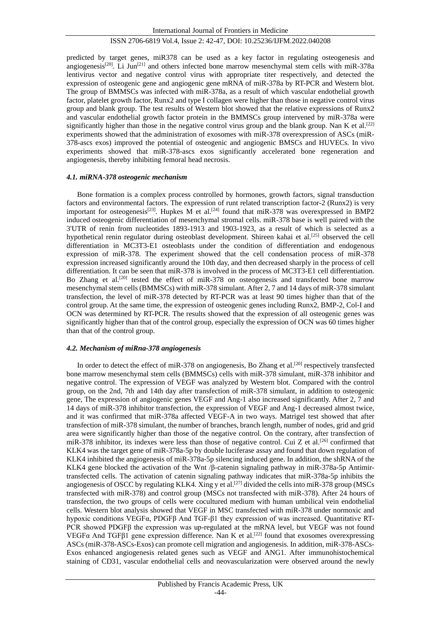predicted by target genes, miR378 can be used as a key factor in regulating osteogenesis and angiogenesis<sup>[20]</sup>. Li Jun<sup>[21]</sup> and others infected bone marrow mesenchymal stem cells with miR-378a lentivirus vector and negative control virus with appropriate titer respectively, and detected the expression of osteogenic gene and angiogenic gene mRNA of miR-378a by RT-PCR and Western blot. The group of BMMSCs was infected with miR-378a, as a result of which vascular endothelial growth factor, platelet growth factor, Runx2 and type I collagen were higher than those in negative control virus group and blank group. The test results of Western blot showed that the relative expressions of Runx2 and vascular endothelial growth factor protein in the BMMSCs group intervened by miR-378a were significantly higher than those in the negative control virus group and the blank group. Nan K et al.<sup>[22]</sup> experiments showed that the administration of exosomes with miR-378 overexpression of ASCs (miR-378-ascs exos) improved the potential of osteogenic and angiogenic BMSCs and HUVECs. In vivo experiments showed that miR-378-ascs exos significantly accelerated bone regeneration and angiogenesis, thereby inhibiting femoral head necrosis.

#### *4.1. miRNA-378 osteogenic mechanism*

Bone formation is a complex process controlled by hormones, growth factors, signal transduction factors and environmental factors. The expression of runt related transcription factor-2 (Runx2) is very important for osteogenesis<sup>[23]</sup>. Hupkes M et al.<sup>[24]</sup> found that miR-378 was overexpressed in BMP2 induced osteogenic differentiation of mesenchymal stromal cells. miR-378 base is well paired with the 3'UTR of renin from nucleotides 1893-1913 and 1903-1923, as a result of which is selected as a hypothetical renin regulator during osteoblast development. Shireen kahai et al.<sup>[25]</sup> observed the cell differentiation in MC3T3-E1 osteoblasts under the condition of differentiation and endogenous expression of miR-378. The experiment showed that the cell condensation process of miR-378 expression increased significantly around the 10th day, and then decreased sharply in the process of cell differentiation. It can be seen that miR-378 is involved in the process of MC3T3-E1 cell differentiation. Bo Zhang et al.<sup>[20]</sup> tested the effect of miR-378 on osteogenesis and transfected bone marrow mesenchymal stem cells (BMMSCs) with miR-378 simulant. After 2, 7 and 14 days of miR-378 simulant transfection, the level of miR-378 detected by RT-PCR was at least 90 times higher than that of the control group. At the same time, the expression of osteogenic genes including Runx2, BMP-2, Col-I and OCN was determined by RT-PCR. The results showed that the expression of all osteogenic genes was significantly higher than that of the control group, especially the expression of OCN was 60 times higher than that of the control group.

## *4.2. Mechanism of miRna-378 angiogenesis*

In order to detect the effect of miR-378 on angiogenesis, Bo Zhang et al.<sup>[20]</sup> respectively transfected bone marrow mesenchymal stem cells (BMMSCs) cells with miR-378 simulant, miR-378 inhibitor and negative control. The expression of VEGF was analyzed by Western blot. Compared with the control group, on the 2nd, 7th and 14th day after transfection of miR-378 simulant, in addition to osteogenic gene, The expression of angiogenic genes VEGF and Ang-1 also increased significantly. After 2, 7 and 14 days of miR-378 inhibitor transfection, the expression of VEGF and Ang-1 decreased almost twice, and it was confirmed that miR-378a affected VEGF-A in two ways. Matrigel test showed that after transfection of miR-378 simulant, the number of branches, branch length, number of nodes, grid and grid area were significantly higher than those of the negative control. On the contrary, after transfection of miR-378 inhibitor, its indexes were less than those of negative control. Cui Z et al.<sup>[26]</sup> confirmed that KLK4 was the target gene of miR-378a-5p by double luciferase assay and found that down regulation of KLK4 inhibited the angiogenesis of miR-378a-5p silencing induced gene. In addition, the shRNA of the KLK4 gene blocked the activation of the Wnt /β-catenin signaling pathway in miR-378a-5p Antimirtransfected cells. The activation of catenin signaling pathway indicates that miR-378a-5p inhibits the angiogenesis of OSCC by regulating KLK4. Xing y et al.<sup>[27]</sup> divided the cells into miR-378 group (MSCs transfected with miR-378) and control group (MSCs not transfected with miR-378). After 24 hours of transfection, the two groups of cells were cocultured medium with human umbilical vein endothelial cells. Western blot analysis showed that VEGF in MSC transfected with miR-378 under normoxic and hypoxic conditions VEGFα, PDGFβ And TGF-β1 they expression of was increased. Quantitative RT-PCR showed PDGFβ the expression was up-regulated at the mRNA level, but VEGF was not found VEGFα And TGFβ1 gene expression difference. Nan K et al.<sup>[22]</sup> found that exosomes overexpressing ASCs (miR-378-ASCs-Exos) can promote cell migration and angiogenesis. In addition, miR-378-ASCs-Exos enhanced angiogenesis related genes such as VEGF and ANG1. After immunohistochemical staining of CD31, vascular endothelial cells and neovascularization were observed around the newly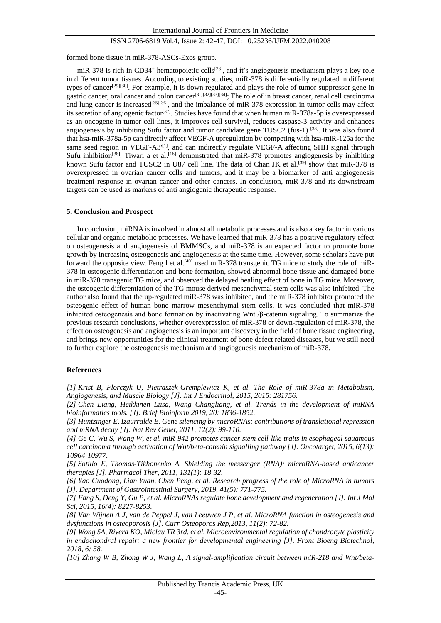formed bone tissue in miR-378-ASCs-Exos group.

miR-378 is rich in CD34<sup>+</sup> hematopoietic cells<sup>[28]</sup>, and it's angiogenesis mechanism plays a key role in different tumor tissues. According to existing studies, miR-378 is differentially regulated in different types of cancer[29][30]. For example, it is down regulated and plays the role of tumor suppressor gene in gastric cancer, oral cancer and colon cancer[31][32][33][34]; The role of in breast cancer, renal cell carcinoma and lung cancer is increased<sup>[35][36]</sup>, and the imbalance of miR-378 expression in tumor cells may affect its secretion of angiogenic factor<sup>[37]</sup>. Studies have found that when human miR-378a-5p is overexpressed as an oncogene in tumor cell lines, it improves cell survival, reduces caspase-3 activity and enhances angiogenesis by inhibiting Sufu factor and tumor candidate gene TUSC2 (fus-1) [38]. It was also found that hsa-miR-378a-5p can directly affect VEGF-A upregulation by competing with hsa-miR-125a for the same seed region in  $VEGF-A3<sup>[1]</sup>$ , and can indirectly regulate VEGF-A affecting SHH signal through Sufu inhibition<sup>[38]</sup>. Tiwari a et al.<sup>[16]</sup> demonstrated that miR-378 promotes angiogenesis by inhibiting known Sufu factor and TUSC2 in U87 cell line. The data of Chan JK et al.<sup>[39]</sup> show that miR-378 is overexpressed in ovarian cancer cells and tumors, and it may be a biomarker of anti angiogenesis treatment response in ovarian cancer and other cancers. In conclusion, miR-378 and its downstream targets can be used as markers of anti angiogenic therapeutic response.

#### **5. Conclusion and Prospect**

In conclusion, miRNA is involved in almost all metabolic processes and is also a key factor in various cellular and organic metabolic processes. We have learned that miR-378 has a positive regulatory effect on osteogenesis and angiogenesis of BMMSCs, and miR-378 is an expected factor to promote bone growth by increasing osteogenesis and angiogenesis at the same time. However, some scholars have put forward the opposite view. Feng 1 et al.<sup>[40]</sup> used miR-378 transgenic TG mice to study the role of miR-378 in osteogenic differentiation and bone formation, showed abnormal bone tissue and damaged bone in miR-378 transgenic TG mice, and observed the delayed healing effect of bone in TG mice. Moreover, the osteogenic differentiation of the TG mouse derived mesenchymal stem cells was also inhibited. The author also found that the up-regulated miR-378 was inhibited, and the miR-378 inhibitor promoted the osteogenic effect of human bone marrow mesenchymal stem cells. It was concluded that miR-378 inhibited osteogenesis and bone formation by inactivating Wnt /β-catenin signaling. To summarize the previous research conclusions, whether overexpression of miR-378 or down-regulation of miR-378, the effect on osteogenesis and angiogenesis is an important discovery in the field of bone tissue engineering, and brings new opportunities for the clinical treatment of bone defect related diseases, but we still need to further explore the osteogenesis mechanism and angiogenesis mechanism of miR-378.

#### **References**

*[1] Krist B, Florczyk U, Pietraszek-Gremplewicz K, et al. The Role of miR-378a in Metabolism, Angiogenesis, and Muscle Biology [J]. Int J Endocrinol, 2015, 2015: 281756.*

*[2] Chen Liang, Heikkinen Liisa, Wang Changliang, et al. Trends in the development of miRNA bioinformatics tools. [J]. Brief Bioinform,2019, 20: 1836-1852.*

*[3] Huntzinger E, Izaurralde E. Gene silencing by microRNAs: contributions of translational repression and mRNA decay [J]. Nat Rev Genet, 2011, 12(2): 99-110.* 

*[4] Ge C, Wu S, Wang W, et al. miR-942 promotes cancer stem cell-like traits in esophageal squamous cell carcinoma through activation of Wnt/beta-catenin signalling pathway [J]. Oncotarget, 2015, 6(13): 10964-10977.*

*[5] Sotillo E, Thomas-Tikhonenko A. Shielding the messenger (RNA): microRNA-based anticancer therapies [J]. Pharmacol Ther, 2011, 131(1): 18-32.* 

*[6] Yao Guodong, Lian Yuan, Chen Peng, et al. Research progress of the role of MicroRNA in tumors [J]. Department of Gastrointestinal Surgery, 2019, 41(5): 771-775.* 

*[7] Fang S, Deng Y, Gu P, et al. MicroRNAs regulate bone development and regeneration [J]. Int J Mol Sci, 2015, 16(4): 8227-8253.*

*[8] Van Wijnen A J, van de Peppel J, van Leeuwen J P, et al. MicroRNA function in osteogenesis and dysfunctions in osteoporosis [J]. Curr Osteoporos Rep,2013, 11(2): 72-82.* 

*[9] [Wong SA, Rivera KO, Miclau TR 3rd, et al. Microenvironmental regulation of chondrocyte plasticity](http://scholar.cnki.net/result.aspx?q=Microenvironmental%20regulation%20of%20chondrocyte%20plasticity%20in%20endochondral%20repair:a%20new%20frontier%20for%20developmental%20engineering)  [in endochondral repair: a new frontier for developmental engineering \[J\]. Front Bioeng Biotechnol,](http://scholar.cnki.net/result.aspx?q=Microenvironmental%20regulation%20of%20chondrocyte%20plasticity%20in%20endochondral%20repair:a%20new%20frontier%20for%20developmental%20engineering)  [2018, 6: 58.](http://scholar.cnki.net/result.aspx?q=Microenvironmental%20regulation%20of%20chondrocyte%20plasticity%20in%20endochondral%20repair:a%20new%20frontier%20for%20developmental%20engineering)* 

*[10] Zhang W B, Zhong W J, Wang L, A signal-amplification circuit between miR-218 and Wnt/beta-*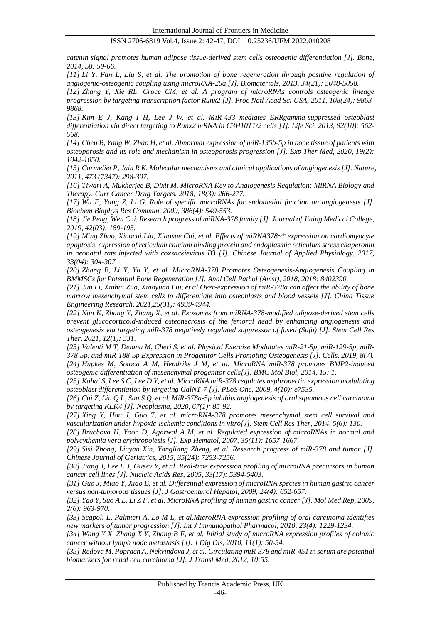*catenin signal promotes human adipose tissue-derived stem cells osteogenic differentiation [J]. Bone, 2014, 58: 59-66.*

*[11] Li Y, Fan L, Liu S, et al. The promotion of bone regeneration through positive regulation of angiogenic-osteogenic coupling using microRNA-26a [J]. Biomaterials, 2013, 34(21): 5048-5058.*

*[12] Zhang Y, Xie [RL, Croce CM, et al. A program of microRNAs controls osteogenic lineage](http://scholar.cnki.net/result.aspx?q=A%20program%20of%20microRNAs%20controls%20osteogenic%20lineage%20progression%20by%20targeting%20transcription%20factor%20Runx2)  [progression by targeting transcription factor Runx2 \[J\]. Proc Natl Acad Sci USA, 2011, 108\(24\): 9863-](http://scholar.cnki.net/result.aspx?q=A%20program%20of%20microRNAs%20controls%20osteogenic%20lineage%20progression%20by%20targeting%20transcription%20factor%20Runx2) [9868.](http://scholar.cnki.net/result.aspx?q=A%20program%20of%20microRNAs%20controls%20osteogenic%20lineage%20progression%20by%20targeting%20transcription%20factor%20Runx2)* 

*[13] Kim E J, Kang I H, Lee J W, et al. MiR-433 mediates ERRgamma-suppressed osteoblast differentiation via direct targeting to Runx2 mRNA in C3H10T1/2 cells [J]. Life Sci, 2013, 92(10): 562- 568.* 

*[14] [Chen B, Yang W, Zhao H, et al. Abnormal expression of miR-135b-5p in bone tissue of patients with](http://scholar.cnki.net/result.aspx?q=Abnormal%20expression%20of%20miR-135b-5p%20in%20bone%20tissue%20of%20patients%20with%20osteoporosis%20and%20its%20role%20and%20mechanism%20in%20osteoporosis%20progression)  [osteoporosis and its role and mechanism in osteoporosis progression \[J\]. Exp Ther Med, 2020, 19\(2\):](http://scholar.cnki.net/result.aspx?q=Abnormal%20expression%20of%20miR-135b-5p%20in%20bone%20tissue%20of%20patients%20with%20osteoporosis%20and%20its%20role%20and%20mechanism%20in%20osteoporosis%20progression)  [1042-1050.](http://scholar.cnki.net/result.aspx?q=Abnormal%20expression%20of%20miR-135b-5p%20in%20bone%20tissue%20of%20patients%20with%20osteoporosis%20and%20its%20role%20and%20mechanism%20in%20osteoporosis%20progression)* 

*[15] Carmeliet P, Jain R K. Molecular mechanisms and clinical applications of angiogenesis [J]. Nature, 2011, 473 (7347): 298-307.* 

*[16] Tiwari A, Mukherjee B, Dixit M. MicroRNA Key to Angiogenesis Regulation: MiRNA Biology and Therapy. Curr Cancer Drug Targets. 2018; 18(3): 266-277.*

*[17] Wu F, Yang Z, Li G. Role of specific microRNAs for endothelial function an angiogenesis [J]. Biochem Biophys Res Commun, 2009, 386(4): 549-553.*

*[18] Jie Peng, Wen Cui. Research progress of miRNA-378 family [J]. Journal of Jining Medical College, 2019, 42(03): 189-195.*

*[19] Ming Zhao, Xiaocui Liu, Xiaoxue Cui, et al. Effects of miRNA378~\* expression on cardiomyocyte apoptosis, expression of reticulum calcium binding protein and endoplasmic reticulum stress chaperonin in neonatal rats infected with coxsackievirus B3 [J]. Chinese Journal of Applied Physiology, 2017, 33(04): 304-307.* 

*[20] Zhang B, Li Y, Yu Y, et al. MicroRNA-378 Promotes Osteogenesis-Angiogenesis Coupling in BMMSCs for Potential Bone Regeneration [J]. Anal Cell Pathol (Amst), 2018, 2018: 8402390.* 

*[21] Jun Li, Xinhui Zuo, Xiaoyuan Liu, et al.Over-expression of miR-378a can affect the ability of bone marrow mesenchymal stem cells to differentiate into osteoblasts and blood vessels [J]. China Tissue Engineering Research, 2021,25(31): 4939-4944.*

*[22] Nan K, Zhang Y, Zhang X, et al. Exosomes from miRNA-378-modified adipose-derived stem cells prevent glucocorticoid-induced osteonecrosis of the femoral head by enhancing angiogenesis and osteogenesis via targeting miR-378 negatively regulated suppressor of fused (Sufu) [J]. Stem Cell Res Ther, 2021, 12(1): 331.*

*[23] Valenti M T, Deiana M, Cheri S, et al. Physical Exercise Modulates miR-21-5p, miR-129-5p, miR-378-5p, and miR-188-5p Expression in Progenitor Cells Promoting Osteogenesis [J]. Cells, 2019, 8(7). [24] Hupkes M, Sotoca A M, Hendriks J M, et al. MicroRNA miR-378 promotes BMP2-induced osteogenic differentiation of mesenchymal progenitor cells[J]. BMC Mol Biol, 2014, 15: 1.* 

*[25] Kahai S, Lee S C, Lee D Y, et al. MicroRNA miR-378 regulates nephronectin expression modulating osteoblast differentiation by targeting GalNT-7 [J]. PLoS One, 2009, 4(10): e7535.* 

*[26] Cui Z, Liu Q L, Sun S Q, et al. MiR-378a-5p inhibits angiogenesis of oral squamous cell carcinoma by targeting KLK4 [J]. Neoplasma, 2020, 67(1): 85-92.* 

*[27] Xing Y, Hou J, Guo T, et al. microRNA-378 promotes mesenchymal stem cell survival and vascularization under hypoxic-ischemic conditions in vitro[J]. Stem Cell Res Ther, 2014, 5(6): 130.*

*[28] Bruchova H, Yoon D, Agarwal A M, et al. Regulated expression of microRNAs in normal and polycythemia vera erythropoiesis [J]. Exp Hematol, 2007, 35(11): 1657-1667.*

*[29] Sisi Zhong, Liuyan Xin, Yongliang Zheng, et al. Research progress of miR-378 and tumor [J]. Chinese Journal of Geriatrics, 2015, 35(24): 7253-7256.*

*[30] Jiang J, Lee E J, Gusev Y, et al. Real-time expression profiling of microRNA precursors in human cancer cell lines [J]. Nucleic Acids Res, 2005, 33(17): 5394-5403.*

*[31] Guo J, Miao Y, Xiao B, et al. Differential expression of microRNA species in human gastric cancer versus non-tumorous tissues [J]. J Gastroenterol Hepatol, 2009, 24(4): 652-657.*

*[32] Yao Y, Suo A L, Li Z F, et al. MicroRNA profiling of human gastric cancer [J]. Mol Med Rep, 2009, 2(6): 963-970.*

*[33] Scapoli L, Palmieri A, Lo M L, et al.MicroRNA expression profiling of oral carcinoma identifies new markers of tumor progression [J]. Int J Immunopathol Pharmacol, 2010, 23(4): 1229-1234.*

*[34] Wang Y X, Zhang X Y, Zhang B F, et al. Initial study of microRNA expression profiles of colonic cancer without lymph node metastasis [J]. J Dig Dis, 2010, 11(1): 50-54.*

*[35] Redova M, Poprach A, Nekvindova J, et al. Circulating miR-378 and miR-451 in serum are potential biomarkers for renal cell carcinoma [J]. J Transl Med, 2012, 10:55.*